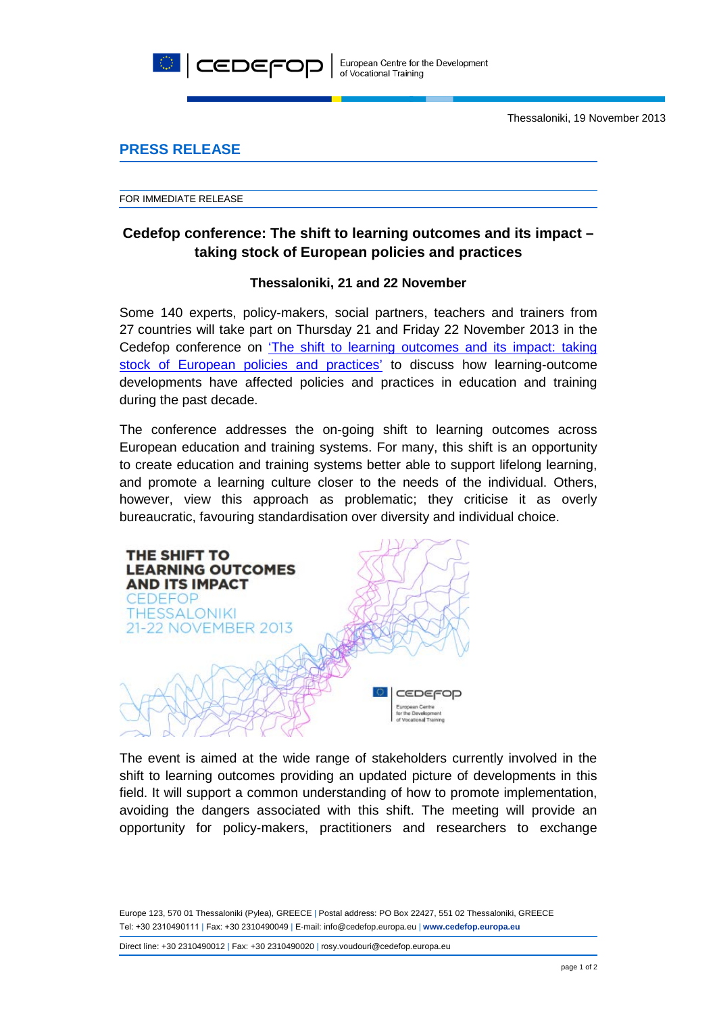

Thessaloniki, 19 November 2013

## **PRESS RELEASE**

FOR IMMEDIATE RELEASE

# **Cedefop conference: The shift to learning outcomes and its impact – taking stock of European policies and practices**

### **Thessaloniki, 21 and 22 November**

Some 140 experts, policy-makers, social partners, teachers and trainers from 27 countries will take part on Thursday 21 and Friday 22 November 2013 in the Cedefop conference on ['The shift to learning outcomes and its impact: taking](http://www.cedefop.europa.eu/events/LearningOutcomes-2013/index.html)  [stock of European policies and practices'](http://www.cedefop.europa.eu/events/LearningOutcomes-2013/index.html) to discuss how learning-outcome developments have affected policies and practices in education and training during the past decade.

The conference addresses the on-going shift to learning outcomes across European education and training systems. For many, this shift is an opportunity to create education and training systems better able to support lifelong learning, and promote a learning culture closer to the needs of the individual. Others, however, view this approach as problematic; they criticise it as overly bureaucratic, favouring standardisation over diversity and individual choice.



The event is aimed at the wide range of stakeholders currently involved in the shift to learning outcomes providing an updated picture of developments in this field. It will support a common understanding of how to promote implementation, avoiding the dangers associated with this shift. The meeting will provide an opportunity for policy-makers, practitioners and researchers to exchange

Europe 123, 570 01 Thessaloniki (Pylea), GREECE | Postal address: PO Box 22427, 551 02 Thessaloniki, GREECE Τel: +30 2310490111 | Fax: +30 2310490049 | E-mail: info@cedefop.europa.eu | **www.cedefop.europa.eu**

Direct line: +30 2310490012 | Fax: +30 2310490020 | rosy.voudouri@cedefop.europa.eu